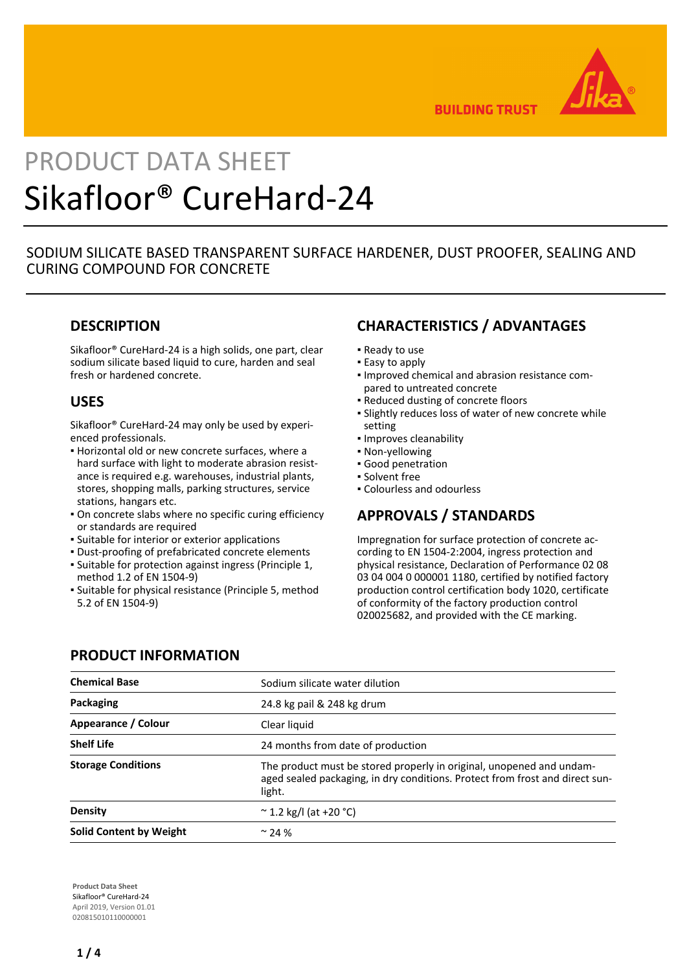

**BUILDING TRUST** 

# PRODUCT DATA SHEET Sikafloor® CureHard-24

# SODIUM SILICATE BASED TRANSPARENT SURFACE HARDENER, DUST PROOFER, SEALING AND CURING COMPOUND FOR CONCRETE

# **DESCRIPTION**

Sikafloor® CureHard-24 is a high solids, one part, clear sodium silicate based liquid to cure, harden and seal fresh or hardened concrete.

# **USES**

Sikafloor® CureHard-24 may only be used by experienced professionals.

- Horizontal old or new concrete surfaces, where a hard surface with light to moderate abrasion resistance is required e.g. warehouses, industrial plants, stores, shopping malls, parking structures, service stations, hangars etc.
- On concrete slabs where no specific curing efficiency or standards are required
- Suitable for interior or exterior applications
- Dust-proofing of prefabricated concrete elements
- Suitable for protection against ingress (Principle 1, method 1.2 of EN 1504-9)
- **·** Suitable for physical resistance (Principle 5, method 5.2 of EN 1504-9)

# **CHARACTERISTICS / ADVANTAGES**

- Ready to use
- **Easy to apply**
- **.** Improved chemical and abrasion resistance compared to untreated concrete
- Reduced dusting of concrete floors
- **-** Slightly reduces loss of water of new concrete while setting
- Improves cleanability
- Non-yellowing
- Good penetration
- Solvent free
- Colourless and odourless

### **APPROVALS / STANDARDS**

Impregnation for surface protection of concrete according to EN 1504-2:2004, ingress protection and physical resistance, Declaration of Performance 02 08 03 04 004 0 000001 1180, certified by notified factory production control certification body 1020, certificate of conformity of the factory production control 020025682, and provided with the CE marking.

| <b>Chemical Base</b>           | Sodium silicate water dilution                                                                                                                                 |  |
|--------------------------------|----------------------------------------------------------------------------------------------------------------------------------------------------------------|--|
| Packaging                      | 24.8 kg pail & 248 kg drum                                                                                                                                     |  |
| Appearance / Colour            | Clear liquid                                                                                                                                                   |  |
| <b>Shelf Life</b>              | 24 months from date of production                                                                                                                              |  |
| <b>Storage Conditions</b>      | The product must be stored properly in original, unopened and undam-<br>aged sealed packaging, in dry conditions. Protect from frost and direct sun-<br>light. |  |
| <b>Density</b>                 | $\sim$ 1.2 kg/l (at +20 °C)                                                                                                                                    |  |
| <b>Solid Content by Weight</b> | $\sim$ 24 %                                                                                                                                                    |  |

# **PRODUCT INFORMATION**

**Product Data Sheet** Sikafloor® CureHard-24 April 2019, Version 01.01 020815010110000001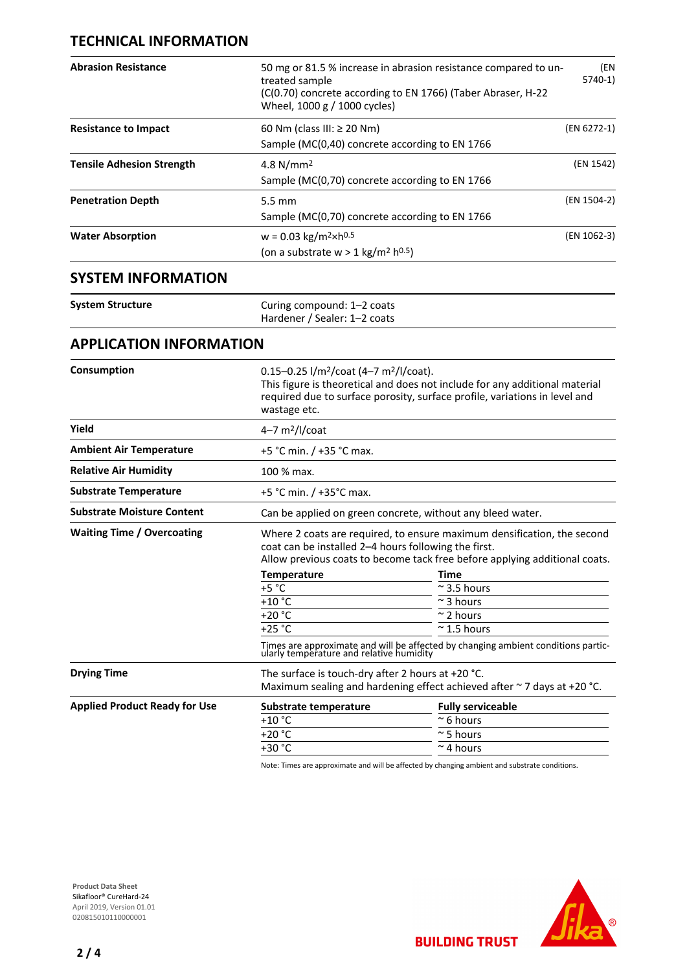## **TECHNICAL INFORMATION**

| <b>Abrasion Resistance</b>           | 50 mg or 81.5 % increase in abrasion resistance compared to un-<br>(EN<br>$5740-1)$<br>treated sample<br>(C(0.70) concrete according to EN 1766) (Taber Abraser, H-22<br>Wheel, 1000 g / 1000 cycles)                                       |                                                                                                                               |  |
|--------------------------------------|---------------------------------------------------------------------------------------------------------------------------------------------------------------------------------------------------------------------------------------------|-------------------------------------------------------------------------------------------------------------------------------|--|
| <b>Resistance to Impact</b>          | (EN 6272-1)<br>60 Nm (class III: ≥ 20 Nm)<br>Sample (MC(0,40) concrete according to EN 1766                                                                                                                                                 |                                                                                                                               |  |
| <b>Tensile Adhesion Strength</b>     | (EN 1542)<br>4.8 $N/mm2$<br>Sample (MC(0,70) concrete according to EN 1766                                                                                                                                                                  |                                                                                                                               |  |
| <b>Penetration Depth</b>             | (EN 1504-2)<br>$5.5 \text{ mm}$<br>Sample (MC(0,70) concrete according to EN 1766                                                                                                                                                           |                                                                                                                               |  |
| <b>Water Absorption</b>              | (EN 1062-3)<br>$w = 0.03$ kg/m <sup>2</sup> ×h <sup>0.5</sup><br>(on a substrate $w > 1$ kg/m <sup>2</sup> h <sup>0.5</sup> )                                                                                                               |                                                                                                                               |  |
| <b>SYSTEM INFORMATION</b>            |                                                                                                                                                                                                                                             |                                                                                                                               |  |
| <b>System Structure</b>              | Curing compound: 1-2 coats<br>Hardener / Sealer: 1-2 coats                                                                                                                                                                                  |                                                                                                                               |  |
| <b>APPLICATION INFORMATION</b>       |                                                                                                                                                                                                                                             |                                                                                                                               |  |
| Consumption                          | 0.15-0.25 l/m <sup>2</sup> /coat (4-7 m <sup>2</sup> /l/coat).<br>This figure is theoretical and does not include for any additional material<br>required due to surface porosity, surface profile, variations in level and<br>wastage etc. |                                                                                                                               |  |
| Yield                                | $4-7$ m <sup>2</sup> /l/coat                                                                                                                                                                                                                |                                                                                                                               |  |
| <b>Ambient Air Temperature</b>       | +5 °C min. / +35 °C max.                                                                                                                                                                                                                    |                                                                                                                               |  |
| <b>Relative Air Humidity</b>         | 100 % max.                                                                                                                                                                                                                                  |                                                                                                                               |  |
| <b>Substrate Temperature</b>         | +5 °C min. / +35°C max.                                                                                                                                                                                                                     |                                                                                                                               |  |
| <b>Substrate Moisture Content</b>    | Can be applied on green concrete, without any bleed water.                                                                                                                                                                                  |                                                                                                                               |  |
| <b>Waiting Time / Overcoating</b>    | Where 2 coats are required, to ensure maximum densification, the second<br>coat can be installed 2-4 hours following the first.<br>Allow previous coats to become tack free before applying additional coats.                               |                                                                                                                               |  |
|                                      | <b>Temperature</b><br>$+5 °C$                                                                                                                                                                                                               | Time<br>$\approx$ 3.5 hours                                                                                                   |  |
|                                      | $+10$ °C                                                                                                                                                                                                                                    | $\sim$ 3 hours                                                                                                                |  |
|                                      | $+20 °C$                                                                                                                                                                                                                                    | $\sim$ 2 hours                                                                                                                |  |
|                                      | $+25 °C$                                                                                                                                                                                                                                    | $\approx$ 1.5 hours                                                                                                           |  |
|                                      |                                                                                                                                                                                                                                             | Times are approximate and will be affected by changing ambient conditions partic-<br>ularly temperature and relative humidity |  |
| <b>Drying Time</b>                   | The surface is touch-dry after 2 hours at +20 $^{\circ}$ C.<br>Maximum sealing and hardening effect achieved after ~ 7 days at +20 °C.                                                                                                      |                                                                                                                               |  |
| <b>Applied Product Ready for Use</b> | Substrate temperature                                                                                                                                                                                                                       | <b>Fully serviceable</b>                                                                                                      |  |
|                                      | $+10 °C$                                                                                                                                                                                                                                    | $~\sim$ 6 hours                                                                                                               |  |
|                                      | $+20 °C$                                                                                                                                                                                                                                    | $\sim$ 5 hours                                                                                                                |  |
|                                      | +30 °C                                                                                                                                                                                                                                      | $\sim$ 4 hours                                                                                                                |  |

Note: Times are approximate and will be affected by changing ambient and substrate conditions.

**BUILDING TRUST** 



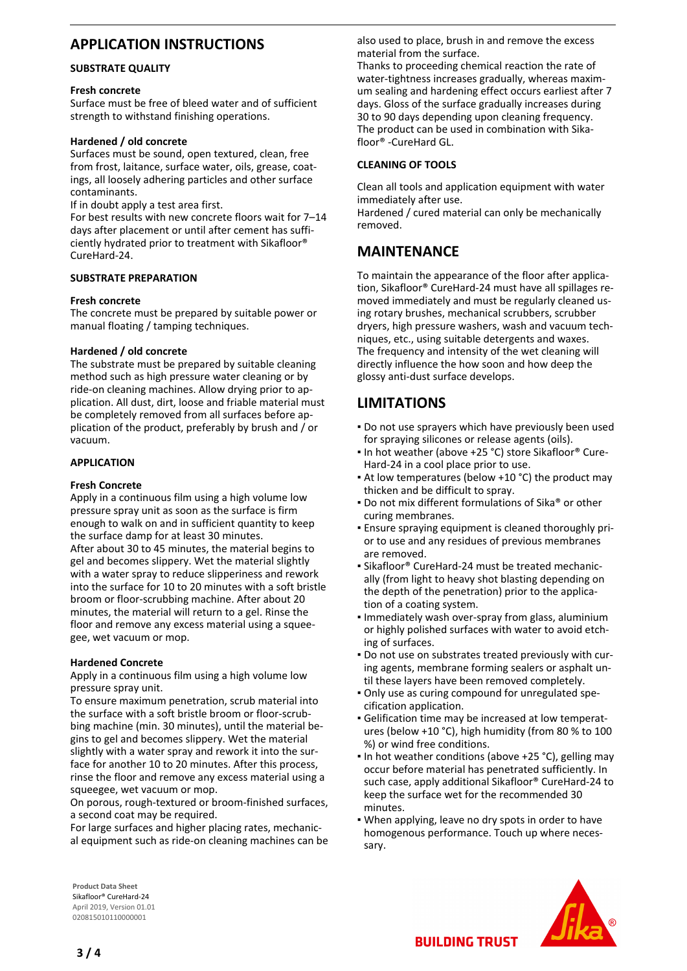# **APPLICATION INSTRUCTIONS**

#### **SUBSTRATE QUALITY**

#### **Fresh concrete**

Surface must be free of bleed water and of sufficient strength to withstand finishing operations.

#### **Hardened / old concrete**

Surfaces must be sound, open textured, clean, free from frost, laitance, surface water, oils, grease, coatings, all loosely adhering particles and other surface contaminants.

If in doubt apply a test area first.

For best results with new concrete floors wait for 7–14 days after placement or until after cement has sufficiently hydrated prior to treatment with Sikafloor® CureHard-24.

#### **SUBSTRATE PREPARATION**

#### **Fresh concrete**

The concrete must be prepared by suitable power or manual floating / tamping techniques.

#### **Hardened / old concrete**

The substrate must be prepared by suitable cleaning method such as high pressure water cleaning or by ride-on cleaning machines. Allow drying prior to application. All dust, dirt, loose and friable material must be completely removed from all surfaces before application of the product, preferably by brush and / or vacuum.

#### **APPLICATION**

#### **Fresh Concrete**

Apply in a continuous film using a high volume low pressure spray unit as soon as the surface is firm enough to walk on and in sufficient quantity to keep the surface damp for at least 30 minutes. After about 30 to 45 minutes, the material begins to gel and becomes slippery. Wet the material slightly with a water spray to reduce slipperiness and rework into the surface for 10 to 20 minutes with a soft bristle broom or floor-scrubbing machine. After about 20 minutes, the material will return to a gel. Rinse the floor and remove any excess material using a squeegee, wet vacuum or mop.

#### **Hardened Concrete**

Apply in a continuous film using a high volume low pressure spray unit.

To ensure maximum penetration, scrub material into the surface with a soft bristle broom or floor-scrubbing machine (min. 30 minutes), until the material begins to gel and becomes slippery. Wet the material slightly with a water spray and rework it into the surface for another 10 to 20 minutes. After this process, rinse the floor and remove any excess material using a squeegee, wet vacuum or mop.

On porous, rough-textured or broom-finished surfaces, a second coat may be required.

For large surfaces and higher placing rates, mechanical equipment such as ride-on cleaning machines can be also used to place, brush in and remove the excess material from the surface.

Thanks to proceeding chemical reaction the rate of water-tightness increases gradually, whereas maximum sealing and hardening effect occurs earliest after 7 days. Gloss of the surface gradually increases during 30 to 90 days depending upon cleaning frequency. The product can be used in combination with Sikafloor® -CureHard GL.

#### **CLEANING OF TOOLS**

Clean all tools and application equipment with water immediately after use.

Hardened / cured material can only be mechanically removed.

## **MAINTENANCE**

To maintain the appearance of the floor after application, Sikafloor® CureHard-24 must have all spillages removed immediately and must be regularly cleaned using rotary brushes, mechanical scrubbers, scrubber dryers, high pressure washers, wash and vacuum techniques, etc., using suitable detergents and waxes. The frequency and intensity of the wet cleaning will directly influence the how soon and how deep the glossy anti-dust surface develops.

# **LIMITATIONS**

- Do not use sprayers which have previously been used for spraying silicones or release agents (oils).
- In hot weather (above +25 °C) store Sikafloor® Cure-Hard-24 in a cool place prior to use.
- At low temperatures (below +10 °C) the product may thicken and be difficult to spray.
- Do not mix different formulations of Sika® or other curing membranes.
- Ensure spraying equipment is cleaned thoroughly pri-▪ or to use and any residues of previous membranes are removed.
- Sikafloor® CureHard-24 must be treated mechanic-▪ ally (from light to heavy shot blasting depending on the depth of the penetration) prior to the application of a coating system.
- **.** Immediately wash over-spray from glass, aluminium or highly polished surfaces with water to avoid etching of surfaces.
- Do not use on substrates treated previously with cur-▪ ing agents, membrane forming sealers or asphalt until these layers have been removed completely.
- Only use as curing compound for unregulated spe-▪ cification application.
- Gelification time may be increased at low temperat-▪ ures (below +10 °C), high humidity (from 80 % to 100 %) or wind free conditions.
- In hot weather conditions (above +25 °C), gelling may occur before material has penetrated sufficiently. In such case, apply additional Sikafloor® CureHard-24 to keep the surface wet for the recommended 30 minutes.
- . When applying, leave no dry spots in order to have homogenous performance. Touch up where necessary.





**BUILDING TRUST**